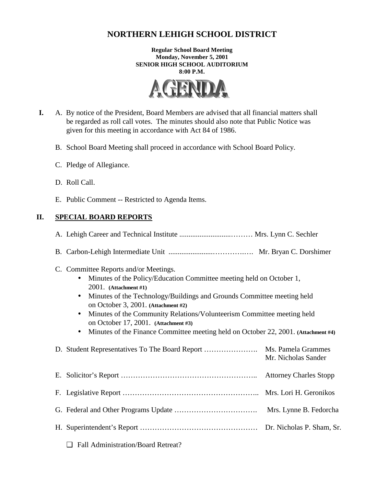# **NORTHERN LEHIGH SCHOOL DISTRICT**

**Regular School Board Meeting Monday, November 5, 2001 SENIOR HIGH SCHOOL AUDITORIUM 8:00 P.M.** 



- **I.** A. By notice of the President, Board Members are advised that all financial matters shall be regarded as roll call votes. The minutes should also note that Public Notice was given for this meeting in accordance with Act 84 of 1986.
	- B. School Board Meeting shall proceed in accordance with School Board Policy.
	- C. Pledge of Allegiance.
	- D. Roll Call.
	- E. Public Comment -- Restricted to Agenda Items.

## **II. SPECIAL BOARD REPORTS**

| C. Committee Reports and/or Meetings.<br>Minutes of the Policy/Education Committee meeting held on October 1,<br>$2001.$ (Attachment #1)<br>Minutes of the Technology/Buildings and Grounds Committee meeting held<br>on October 3, 2001. (Attachment #2)<br>Minutes of the Community Relations/Volunteerism Committee meeting held<br>on October 17, 2001. (Attachment #3)<br>Minutes of the Finance Committee meeting held on October 22, 2001. (Attachment #4) |                        |  |
|-------------------------------------------------------------------------------------------------------------------------------------------------------------------------------------------------------------------------------------------------------------------------------------------------------------------------------------------------------------------------------------------------------------------------------------------------------------------|------------------------|--|
|                                                                                                                                                                                                                                                                                                                                                                                                                                                                   | Mr. Nicholas Sander    |  |
|                                                                                                                                                                                                                                                                                                                                                                                                                                                                   |                        |  |
|                                                                                                                                                                                                                                                                                                                                                                                                                                                                   |                        |  |
|                                                                                                                                                                                                                                                                                                                                                                                                                                                                   | Mrs. Lynne B. Fedorcha |  |
|                                                                                                                                                                                                                                                                                                                                                                                                                                                                   |                        |  |
| <b>Fall Administration/Board Retreat?</b>                                                                                                                                                                                                                                                                                                                                                                                                                         |                        |  |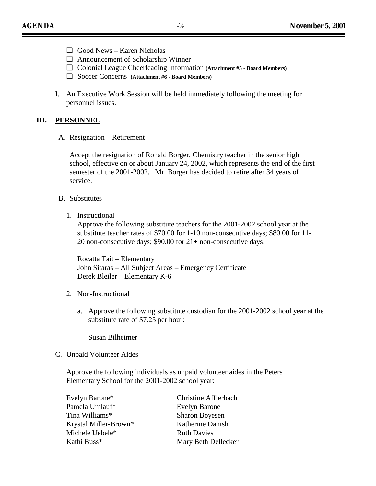- ❑ Good News Karen Nicholas
- ❑ Announcement of Scholarship Winner
- ❑ Colonial League Cheerleading Information **(Attachment #5 Board Members)**
- ❑ Soccer Concerns **(Attachment #6 Board Members)**
- I. An Executive Work Session will be held immediately following the meeting for personnel issues.

#### **III. PERSONNEL**

A. Resignation – Retirement

Accept the resignation of Ronald Borger, Chemistry teacher in the senior high school, effective on or about January 24, 2002, which represents the end of the first semester of the 2001-2002. Mr. Borger has decided to retire after 34 years of service.

- B. Substitutes
	- 1. Instructional

Approve the following substitute teachers for the 2001-2002 school year at the substitute teacher rates of \$70.00 for 1-10 non-consecutive days; \$80.00 for 11- 20 non-consecutive days; \$90.00 for 21+ non-consecutive days:

 Rocatta Tait – Elementary John Sitaras – All Subject Areas – Emergency Certificate Derek Bleiler – Elementary K-6

#### 2. Non-Instructional

a. Approve the following substitute custodian for the 2001-2002 school year at the substitute rate of \$7.25 per hour:

Susan Bilheimer

#### C. Unpaid Volunteer Aides

Approve the following individuals as unpaid volunteer aides in the Peters Elementary School for the 2001-2002 school year:

| <b>Christine Afflerbach</b> |
|-----------------------------|
| <b>Evelyn Barone</b>        |
| <b>Sharon Boyesen</b>       |
| Katherine Danish            |
| <b>Ruth Davies</b>          |
| Mary Beth Dellecker         |
|                             |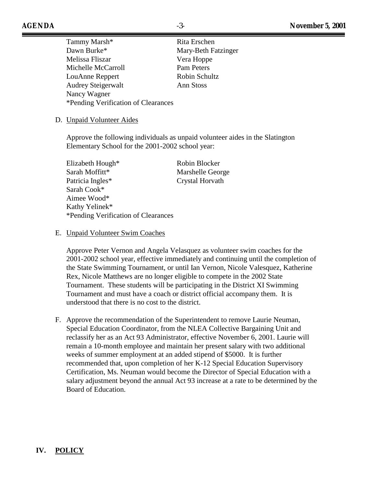Tammy Marsh<sup>\*</sup> Rita Erschen Dawn Burke\* Mary-Beth Fatzinger Melissa Fliszar Vera Hoppe Michelle McCarroll Pam Peters LouAnne Reppert Robin Schultz Audrey Steigerwalt Ann Stoss Nancy Wagner \*Pending Verification of Clearances

# D. Unpaid Volunteer Aides

Approve the following individuals as unpaid volunteer aides in the Slatington Elementary School for the 2001-2002 school year:

| Elizabeth Hough*                    | Robin Blocker    |
|-------------------------------------|------------------|
| Sarah Moffitt*                      | Marshelle George |
| Patricia Ingles*                    | Crystal Horvath  |
| Sarah Cook*                         |                  |
| Aimee Wood*                         |                  |
| Kathy Yelinek*                      |                  |
| *Pending Verification of Clearances |                  |
|                                     |                  |

#### E. Unpaid Volunteer Swim Coaches

Approve Peter Vernon and Angela Velasquez as volunteer swim coaches for the 2001-2002 school year, effective immediately and continuing until the completion of the State Swimming Tournament, or until Ian Vernon, Nicole Valesquez, Katherine Rex, Nicole Matthews are no longer eligible to compete in the 2002 State Tournament. These students will be participating in the District XI Swimming Tournament and must have a coach or district official accompany them. It is understood that there is no cost to the district.

F. Approve the recommendation of the Superintendent to remove Laurie Neuman, Special Education Coordinator, from the NLEA Collective Bargaining Unit and reclassify her as an Act 93 Administrator, effective November 6, 2001. Laurie will remain a 10-month employee and maintain her present salary with two additional weeks of summer employment at an added stipend of \$5000. It is further recommended that, upon completion of her K-12 Special Education Supervisory Certification, Ms. Neuman would become the Director of Special Education with a salary adjustment beyond the annual Act 93 increase at a rate to be determined by the Board of Education.

## **IV. POLICY**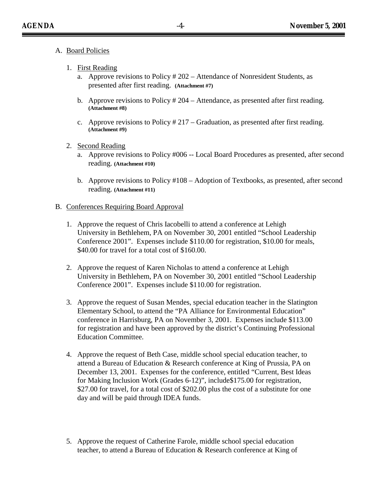- A. Board Policies
	- 1. First Reading
		- a. Approve revisions to Policy # 202 Attendance of Nonresident Students, as presented after first reading. **(Attachment #7)**
		- b. Approve revisions to Policy # 204 Attendance, as presented after first reading. **(Attachment #8)**
		- c. Approve revisions to Policy # 217 Graduation, as presented after first reading. **(Attachment #9)**
	- 2. Second Reading
		- a. Approve revisions to Policy #006 -- Local Board Procedures as presented, after second reading. **(Attachment #10)**
		- b. Approve revisions to Policy #108 Adoption of Textbooks, as presented, after second reading. **(Attachment #11)**
- B. Conferences Requiring Board Approval
	- 1. Approve the request of Chris Iacobelli to attend a conference at Lehigh University in Bethlehem, PA on November 30, 2001 entitled "School Leadership Conference 2001". Expenses include \$110.00 for registration, \$10.00 for meals, \$40.00 for travel for a total cost of \$160.00.
	- 2. Approve the request of Karen Nicholas to attend a conference at Lehigh University in Bethlehem, PA on November 30, 2001 entitled "School Leadership Conference 2001". Expenses include \$110.00 for registration.
	- 3. Approve the request of Susan Mendes, special education teacher in the Slatington Elementary School, to attend the "PA Alliance for Environmental Education" conference in Harrisburg, PA on November 3, 2001. Expenses include \$113.00 for registration and have been approved by the district's Continuing Professional Education Committee.
	- 4. Approve the request of Beth Case, middle school special education teacher, to attend a Bureau of Education & Research conference at King of Prussia, PA on December 13, 2001. Expenses for the conference, entitled "Current, Best Ideas for Making Inclusion Work (Grades 6-12)", include\$175.00 for registration, \$27.00 for travel, for a total cost of \$202.00 plus the cost of a substitute for one day and will be paid through IDEA funds.
	- 5. Approve the request of Catherine Farole, middle school special education teacher, to attend a Bureau of Education & Research conference at King of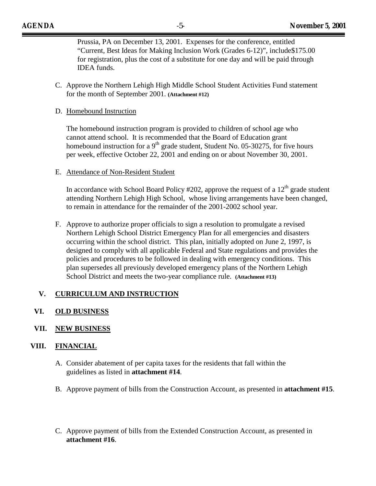Prussia, PA on December 13, 2001. Expenses for the conference, entitled "Current, Best Ideas for Making Inclusion Work (Grades 6-12)", include\$175.00 for registration, plus the cost of a substitute for one day and will be paid through IDEA funds.

C. Approve the Northern Lehigh High Middle School Student Activities Fund statement for the month of September 2001. **(Attachment #12)**

#### D. Homebound Instruction

The homebound instruction program is provided to children of school age who cannot attend school. It is recommended that the Board of Education grant homebound instruction for a  $9<sup>th</sup>$  grade student, Student No. 05-30275, for five hours per week, effective October 22, 2001 and ending on or about November 30, 2001.

E. Attendance of Non-Resident Student

In accordance with School Board Policy #202, approve the request of a  $12<sup>th</sup>$  grade student attending Northern Lehigh High School, whose living arrangements have been changed, to remain in attendance for the remainder of the 2001-2002 school year.

F. Approve to authorize proper officials to sign a resolution to promulgate a revised Northern Lehigh School District Emergency Plan for all emergencies and disasters occurring within the school district. This plan, initially adopted on June 2, 1997, is designed to comply with all applicable Federal and State regulations and provides the policies and procedures to be followed in dealing with emergency conditions. This plan supersedes all previously developed emergency plans of the Northern Lehigh School District and meets the two-year compliance rule. **(Attachment #13)** 

## **V. CURRICULUM AND INSTRUCTION**

## **VI. OLD BUSINESS**

## **VII. NEW BUSINESS**

## **VIII. FINANCIAL**

- A. Consider abatement of per capita taxes for the residents that fall within the guidelines as listed in **attachment #14**.
- B. Approve payment of bills from the Construction Account, as presented in **attachment #15**.
- C. Approve payment of bills from the Extended Construction Account, as presented in **attachment #16**.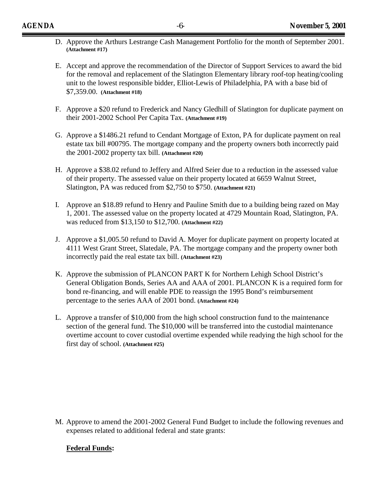- D. Approve the Arthurs Lestrange Cash Management Portfolio for the month of September 2001. **(Attachment #17)**
- E. Accept and approve the recommendation of the Director of Support Services to award the bid for the removal and replacement of the Slatington Elementary library roof-top heating/cooling unit to the lowest responsible bidder, Elliot-Lewis of Philadelphia, PA with a base bid of \$7,359.00. **(Attachment #18)**
- F. Approve a \$20 refund to Frederick and Nancy Gledhill of Slatington for duplicate payment on their 2001-2002 School Per Capita Tax. **(Attachment #19)**
- G. Approve a \$1486.21 refund to Cendant Mortgage of Exton, PA for duplicate payment on real estate tax bill #00795. The mortgage company and the property owners both incorrectly paid the 2001-2002 property tax bill. **(Attachment #20)**
- H. Approve a \$38.02 refund to Jeffery and Alfred Seier due to a reduction in the assessed value of their property. The assessed value on their property located at 6659 Walnut Street, Slatington, PA was reduced from \$2,750 to \$750. **(Attachment #21)**
- I. Approve an \$18.89 refund to Henry and Pauline Smith due to a building being razed on May 1, 2001. The assessed value on the property located at 4729 Mountain Road, Slatington, PA. was reduced from \$13,150 to \$12,700. **(Attachment #22)**
- J. Approve a \$1,005.50 refund to David A. Moyer for duplicate payment on property located at 4111 West Grant Street, Slatedale, PA. The mortgage company and the property owner both incorrectly paid the real estate tax bill. **(Attachment #23)**
- K. Approve the submission of PLANCON PART K for Northern Lehigh School District's General Obligation Bonds, Series AA and AAA of 2001. PLANCON K is a required form for bond re-financing, and will enable PDE to reassign the 1995 Bond's reimbursement percentage to the series AAA of 2001 bond. **(Attachment #24)**
- L. Approve a transfer of \$10,000 from the high school construction fund to the maintenance section of the general fund. The \$10,000 will be transferred into the custodial maintenance overtime account to cover custodial overtime expended while readying the high school for the first day of school. **(Attachment #25)**

M. Approve to amend the 2001-2002 General Fund Budget to include the following revenues and expenses related to additional federal and state grants:

## **Federal Funds:**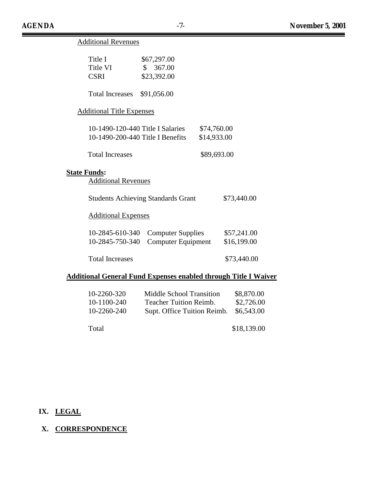$\equiv$ 

| <b>Additional Revenues</b>                                           |                                                       |                            |  |  |  |  |
|----------------------------------------------------------------------|-------------------------------------------------------|----------------------------|--|--|--|--|
| Title I<br>Title VI<br><b>CSRI</b>                                   | \$67,297.00<br>367.00<br>$\mathbb{S}$<br>\$23,392.00  |                            |  |  |  |  |
| <b>Total Increases</b>                                               | \$91,056.00                                           |                            |  |  |  |  |
| <b>Additional Title Expenses</b>                                     |                                                       |                            |  |  |  |  |
| 10-1490-120-440 Title I Salaries<br>10-1490-200-440 Title I Benefits |                                                       | \$74,760.00<br>\$14,933.00 |  |  |  |  |
| <b>Total Increases</b>                                               |                                                       | \$89,693.00                |  |  |  |  |
| <b>State Funds:</b><br><b>Additional Revenues</b>                    |                                                       |                            |  |  |  |  |
|                                                                      | <b>Students Achieving Standards Grant</b>             | \$73,440.00                |  |  |  |  |
| <b>Additional Expenses</b>                                           |                                                       |                            |  |  |  |  |
| 10-2845-610-340<br>10-2845-750-340                                   | <b>Computer Supplies</b><br><b>Computer Equipment</b> | \$57,241.00<br>\$16,199.00 |  |  |  |  |
| <b>Total Increases</b>                                               |                                                       | \$73,440.00                |  |  |  |  |

# **Additional General Fund Expenses enabled through Title I Waiver**

| 10-2260-320 | Middle School Transition      | \$8,870.00  |
|-------------|-------------------------------|-------------|
| 10-1100-240 | <b>Teacher Tuition Reimb.</b> | \$2,726.00  |
| 10-2260-240 | Supt. Office Tuition Reimb.   | \$6,543.00  |
|             |                               |             |
| Total       |                               | \$18,139.00 |

## **IX. LEGAL**

# **X. CORRESPONDENCE**